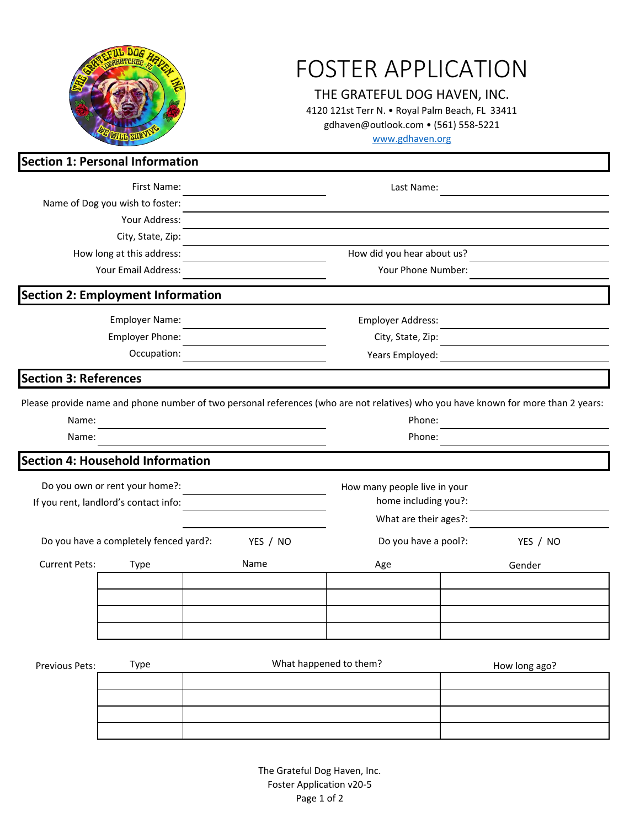| <b>Section 1: Personal Information</b>             |                                          |      |                              | <b>FOSTER APPLICATION</b><br>THE GRATEFUL DOG HAVEN, INC.<br>4120 121st Terr N. . Royal Palm Beach, FL 33411<br>gdhaven@outlook.com • (561) 558-5221<br>www.gdhaven.org |  |                                                                                                                                   |  |
|----------------------------------------------------|------------------------------------------|------|------------------------------|-------------------------------------------------------------------------------------------------------------------------------------------------------------------------|--|-----------------------------------------------------------------------------------------------------------------------------------|--|
|                                                    | First Name:                              |      |                              |                                                                                                                                                                         |  |                                                                                                                                   |  |
| Name of Dog you wish to foster:                    |                                          |      | Last Name:                   |                                                                                                                                                                         |  |                                                                                                                                   |  |
|                                                    | Your Address:                            |      |                              |                                                                                                                                                                         |  |                                                                                                                                   |  |
|                                                    | City, State, Zip:                        |      |                              |                                                                                                                                                                         |  |                                                                                                                                   |  |
| How long at this address:                          |                                          |      |                              | How did you hear about us?                                                                                                                                              |  |                                                                                                                                   |  |
|                                                    | Your Email Address:                      |      | Your Phone Number:           |                                                                                                                                                                         |  |                                                                                                                                   |  |
|                                                    | <b>Section 2: Employment Information</b> |      |                              |                                                                                                                                                                         |  |                                                                                                                                   |  |
| <b>Employer Name:</b>                              |                                          |      |                              | Employer Address:                                                                                                                                                       |  |                                                                                                                                   |  |
| Employer Phone:                                    |                                          |      |                              | City, State, Zip:                                                                                                                                                       |  |                                                                                                                                   |  |
|                                                    |                                          |      | Years Employed:              |                                                                                                                                                                         |  |                                                                                                                                   |  |
| <b>Section 3: References</b>                       |                                          |      |                              |                                                                                                                                                                         |  |                                                                                                                                   |  |
|                                                    |                                          |      |                              |                                                                                                                                                                         |  | Please provide name and phone number of two personal references (who are not relatives) who you have known for more than 2 years: |  |
| Name:                                              |                                          |      |                              | Phone:                                                                                                                                                                  |  |                                                                                                                                   |  |
| Name:                                              |                                          |      |                              | Phone:                                                                                                                                                                  |  |                                                                                                                                   |  |
|                                                    | Section 4: Household Information         |      |                              |                                                                                                                                                                         |  |                                                                                                                                   |  |
| Do you own or rent your home?:                     |                                          |      | How many people live in your |                                                                                                                                                                         |  |                                                                                                                                   |  |
| If you rent, landlord's contact info:              |                                          |      |                              | home including you?:                                                                                                                                                    |  |                                                                                                                                   |  |
|                                                    |                                          |      |                              | What are their ages?:                                                                                                                                                   |  |                                                                                                                                   |  |
| Do you have a completely fenced yard?:<br>YES / NO |                                          |      |                              | Do you have a pool?:                                                                                                                                                    |  | YES / NO                                                                                                                          |  |
| <b>Current Pets:</b>                               | Type                                     | Name |                              | Age                                                                                                                                                                     |  | Gender                                                                                                                            |  |
|                                                    |                                          |      |                              |                                                                                                                                                                         |  |                                                                                                                                   |  |
|                                                    |                                          |      |                              |                                                                                                                                                                         |  |                                                                                                                                   |  |
|                                                    |                                          |      |                              |                                                                                                                                                                         |  |                                                                                                                                   |  |
|                                                    |                                          |      |                              |                                                                                                                                                                         |  |                                                                                                                                   |  |
| Previous Pets:                                     | <b>Type</b>                              |      |                              | What happened to them?                                                                                                                                                  |  | How long ago?                                                                                                                     |  |
|                                                    |                                          |      |                              |                                                                                                                                                                         |  |                                                                                                                                   |  |
|                                                    |                                          |      |                              |                                                                                                                                                                         |  |                                                                                                                                   |  |
|                                                    |                                          |      |                              |                                                                                                                                                                         |  |                                                                                                                                   |  |